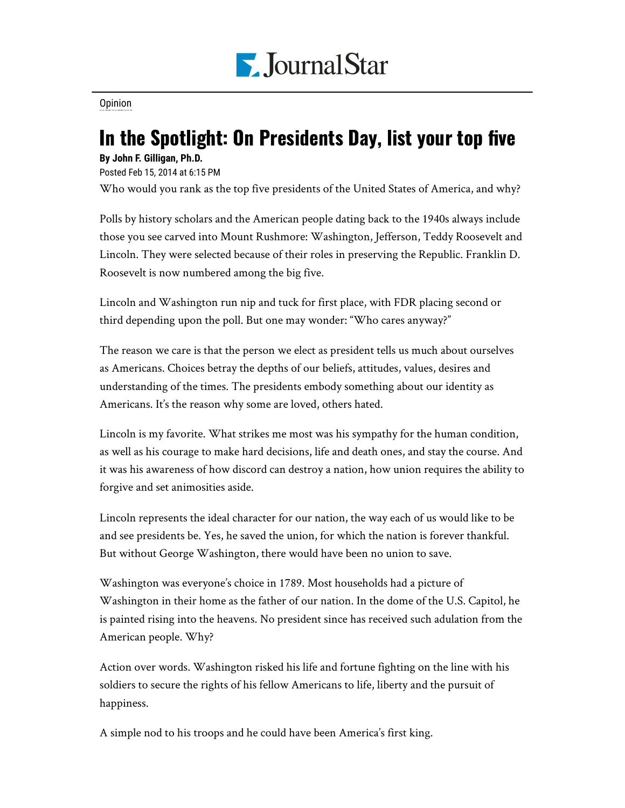

[Opinion](https://www.pjstar.com/search?text=Opinion)

## In the Spotlight: On Presidents Day, list your top five

## **By John F. Gilligan, Ph.D.**

Posted Feb 15, 2014 at 6:15 PM

Who would you rank as the top five presidents of the United States of America, and why?

Polls by history scholars and the American people dating back to the 1940s always include those you see carved into Mount Rushmore: Washington, Jefferson, Teddy Roosevelt and Lincoln. They were selected because of their roles in preserving the Republic. Franklin D. Roosevelt is now numbered among the big five.

Lincoln and Washington run nip and tuck for first place, with FDR placing second or third depending upon the poll. But one may wonder: "Who cares anyway?"

The reason we care is that the person we elect as president tells us much about ourselves as Americans. Choices betray the depths of our beliefs, attitudes, values, desires and understanding of the times. The presidents embody something about our identity as Americans. It's the reason why some are loved, others hated.

Lincoln is my favorite. What strikes me most was his sympathy for the human condition, as well as his courage to make hard decisions, life and death ones, and stay the course. And it was his awareness of how discord can destroy a nation, how union requires the ability to forgive and set animosities aside.

Lincoln represents the ideal character for our nation, the way each of us would like to be and see presidents be. Yes, he saved the union, for which the nation is forever thankful. But without George Washington, there would have been no union to save.

Washington was everyone's choice in 1789. Most households had a picture of Washington in their home as the father of our nation. In the dome of the U.S. Capitol, he is painted rising into the heavens. No president since has received such adulation from the American people. Why?

Action over words. Washington risked his life and fortune fighting on the line with his soldiers to secure the rights of his fellow Americans to life, liberty and the pursuit of happiness.

A simple nod to his troops and he could have been America's first king.